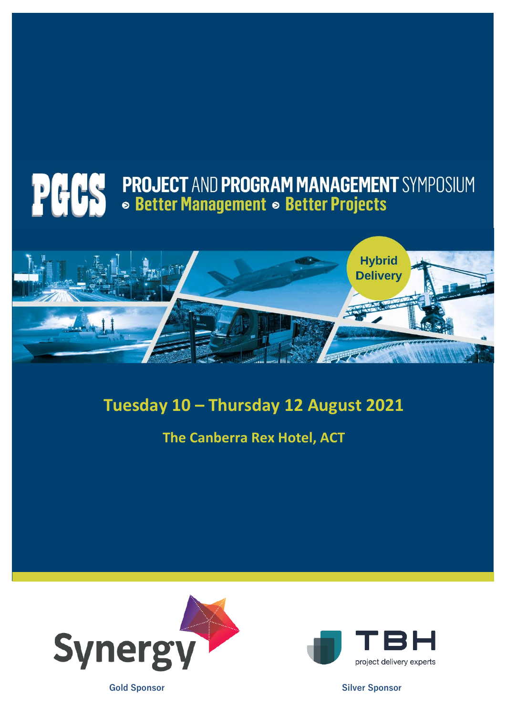# **POCO PROJECT AND PROGRAM MANAGEMENT SYMPOSIUM**



### **Tuesday 10 – Thursday 12 August 2021**

**The Canberra Rex Hotel, ACT**





**Gold Sponsor Silver Sponsor**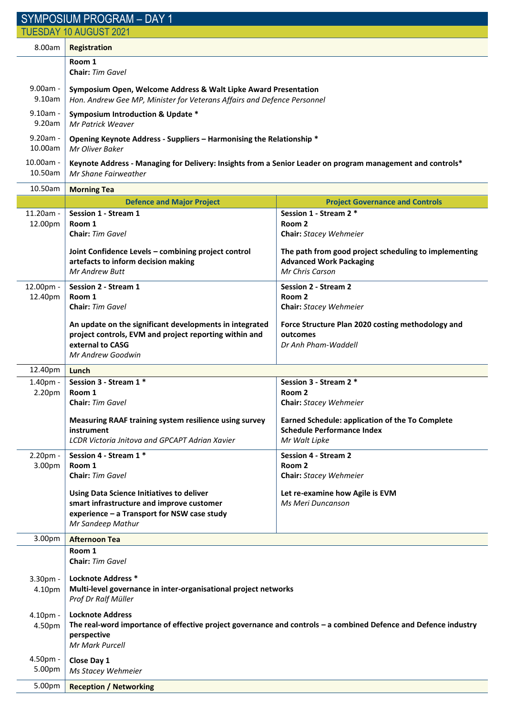| <b>SYMPOSIUM PROGRAM - DAY 1</b> |                                                                                                                                            |                                                                                                            |  |  |  |  |
|----------------------------------|--------------------------------------------------------------------------------------------------------------------------------------------|------------------------------------------------------------------------------------------------------------|--|--|--|--|
| <b>TUESDAY 10 AUGUST 2021</b>    |                                                                                                                                            |                                                                                                            |  |  |  |  |
| 8.00am                           | Registration                                                                                                                               |                                                                                                            |  |  |  |  |
|                                  | Room 1<br>Chair: Tim Gavel                                                                                                                 |                                                                                                            |  |  |  |  |
| $9.00am -$<br>9.10am             | Symposium Open, Welcome Address & Walt Lipke Award Presentation<br>Hon. Andrew Gee MP, Minister for Veterans Affairs and Defence Personnel |                                                                                                            |  |  |  |  |
| $9.10am -$<br>9.20am             | <b>Symposium Introduction &amp; Update *</b><br>Mr Patrick Weaver                                                                          |                                                                                                            |  |  |  |  |
| $9.20am -$<br>10.00am            | Opening Keynote Address - Suppliers - Harmonising the Relationship *<br>Mr Oliver Baker                                                    |                                                                                                            |  |  |  |  |
| 10.00am -<br>10.50am             | Keynote Address - Managing for Delivery: Insights from a Senior Leader on program management and controls*<br>Mr Shane Fairweather         |                                                                                                            |  |  |  |  |
| 10.50am                          | <b>Morning Tea</b>                                                                                                                         |                                                                                                            |  |  |  |  |
|                                  | <b>Defence and Major Project</b>                                                                                                           | <b>Project Governance and Controls</b>                                                                     |  |  |  |  |
| 11.20am -                        | Session 1 - Stream 1                                                                                                                       | Session 1 - Stream 2 *                                                                                     |  |  |  |  |
| 12.00pm                          | Room 1<br>Chair: Tim Gavel                                                                                                                 | Room <sub>2</sub><br>Chair: Stacey Wehmeier                                                                |  |  |  |  |
|                                  | Joint Confidence Levels - combining project control<br>artefacts to inform decision making<br><b>Mr Andrew Butt</b>                        | The path from good project scheduling to implementing<br><b>Advanced Work Packaging</b><br>Mr Chris Carson |  |  |  |  |
| 12.00pm -                        | Session 2 - Stream 1                                                                                                                       | <b>Session 2 - Stream 2</b>                                                                                |  |  |  |  |
| 12.40pm                          | Room 1<br>Chair: Tim Gavel                                                                                                                 | Room 2<br>Chair: Stacey Wehmeier                                                                           |  |  |  |  |
|                                  | An update on the significant developments in integrated                                                                                    | Force Structure Plan 2020 costing methodology and                                                          |  |  |  |  |
|                                  | project controls, EVM and project reporting within and<br>external to CASG                                                                 | outcomes<br>Dr Anh Pham-Waddell                                                                            |  |  |  |  |
|                                  | Mr Andrew Goodwin                                                                                                                          |                                                                                                            |  |  |  |  |
| 12.40pm                          | Lunch                                                                                                                                      |                                                                                                            |  |  |  |  |
| $1.40pm$ -                       | Session 3 - Stream 1 *                                                                                                                     | Session 3 - Stream 2 *                                                                                     |  |  |  |  |
| 2.20pm                           | Room 1<br>Chair: Tim Gavel                                                                                                                 | Room 2<br><b>Chair:</b> Stacey Wehmeier                                                                    |  |  |  |  |
|                                  | Measuring RAAF training system resilience using survey                                                                                     | <b>Earned Schedule: application of the To Complete</b>                                                     |  |  |  |  |
|                                  | instrument                                                                                                                                 | <b>Schedule Performance Index</b>                                                                          |  |  |  |  |
|                                  | LCDR Victoria Jnitova and GPCAPT Adrian Xavier                                                                                             | Mr Walt Lipke                                                                                              |  |  |  |  |
| 2.20pm -<br>3.00pm               | Session 4 - Stream 1 *<br>Room 1                                                                                                           | <b>Session 4 - Stream 2</b><br>Room <sub>2</sub>                                                           |  |  |  |  |
|                                  | Chair: Tim Gavel                                                                                                                           | Chair: Stacey Wehmeier                                                                                     |  |  |  |  |
|                                  | Using Data Science Initiatives to deliver                                                                                                  | Let re-examine how Agile is EVM                                                                            |  |  |  |  |
|                                  | smart infrastructure and improve customer<br>experience - a Transport for NSW case study                                                   | Ms Meri Duncanson                                                                                          |  |  |  |  |
|                                  | Mr Sandeep Mathur                                                                                                                          |                                                                                                            |  |  |  |  |
| 3.00pm                           | <b>Afternoon Tea</b>                                                                                                                       |                                                                                                            |  |  |  |  |
|                                  | Room 1<br><b>Chair:</b> Tim Gavel                                                                                                          |                                                                                                            |  |  |  |  |
| 3.30pm -                         | <b>Locknote Address *</b>                                                                                                                  |                                                                                                            |  |  |  |  |
| 4.10pm                           | Multi-level governance in inter-organisational project networks<br>Prof Dr Ralf Müller                                                     |                                                                                                            |  |  |  |  |
| 4.10pm -                         | <b>Locknote Address</b>                                                                                                                    |                                                                                                            |  |  |  |  |
| 4.50pm                           | The real-word importance of effective project governance and controls - a combined Defence and Defence industry<br>perspective             |                                                                                                            |  |  |  |  |
|                                  | Mr Mark Purcell                                                                                                                            |                                                                                                            |  |  |  |  |
| 4.50pm -<br>5.00pm               | Close Day 1<br>Ms Stacey Wehmeier                                                                                                          |                                                                                                            |  |  |  |  |
| 5.00pm                           | <b>Reception / Networking</b>                                                                                                              |                                                                                                            |  |  |  |  |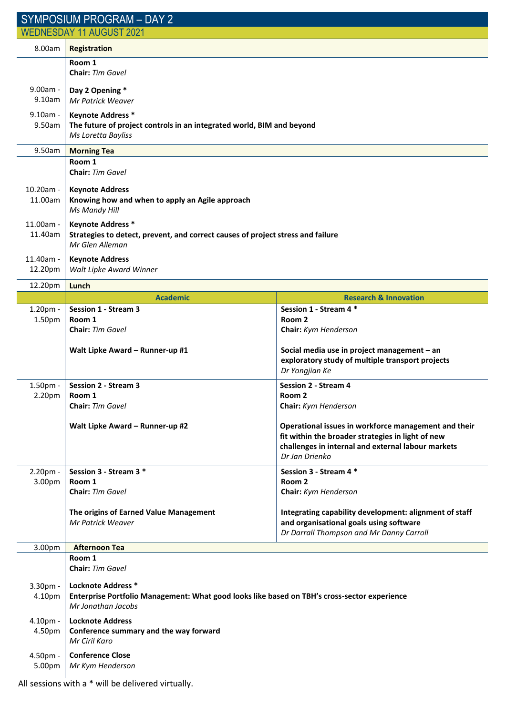| SYMPOSIUM PROGRAM - DAY 2       |                                                                                                                                          |                                                                                                                                                                                   |  |  |  |
|---------------------------------|------------------------------------------------------------------------------------------------------------------------------------------|-----------------------------------------------------------------------------------------------------------------------------------------------------------------------------------|--|--|--|
| <b>WEDNESDAY 11 AUGUST 2021</b> |                                                                                                                                          |                                                                                                                                                                                   |  |  |  |
| 8.00am                          | <b>Registration</b>                                                                                                                      |                                                                                                                                                                                   |  |  |  |
|                                 | Room 1<br>Chair: Tim Gavel                                                                                                               |                                                                                                                                                                                   |  |  |  |
| 9.00am -<br>9.10am              | Day 2 Opening *<br>Mr Patrick Weaver                                                                                                     |                                                                                                                                                                                   |  |  |  |
| $9.10am -$<br>9.50am            | <b>Keynote Address *</b><br>The future of project controls in an integrated world, BIM and beyond<br>Ms Loretta Bayliss                  |                                                                                                                                                                                   |  |  |  |
| 9.50am                          | <b>Morning Tea</b>                                                                                                                       |                                                                                                                                                                                   |  |  |  |
|                                 | Room 1<br>Chair: Tim Gavel                                                                                                               |                                                                                                                                                                                   |  |  |  |
| $10.20$ am -<br>11.00am         | <b>Keynote Address</b><br>Knowing how and when to apply an Agile approach<br>Ms Mandy Hill                                               |                                                                                                                                                                                   |  |  |  |
| 11.00am -<br>11.40am            | <b>Keynote Address *</b><br>Strategies to detect, prevent, and correct causes of project stress and failure<br>Mr Glen Alleman           |                                                                                                                                                                                   |  |  |  |
| 11.40am -<br>12.20pm            | <b>Keynote Address</b><br>Walt Lipke Award Winner                                                                                        |                                                                                                                                                                                   |  |  |  |
| 12.20pm                         | Lunch                                                                                                                                    |                                                                                                                                                                                   |  |  |  |
|                                 | <b>Academic</b>                                                                                                                          | <b>Research &amp; Innovation</b>                                                                                                                                                  |  |  |  |
| 1.20pm -<br>1.50pm              | <b>Session 1 - Stream 3</b><br>Room 1<br>Chair: Tim Gavel                                                                                | Session 1 - Stream 4 *<br>Room <sub>2</sub><br>Chair: Kym Henderson                                                                                                               |  |  |  |
|                                 | Walt Lipke Award - Runner-up #1                                                                                                          | Social media use in project management - an<br>exploratory study of multiple transport projects<br>Dr Yongjian Ke                                                                 |  |  |  |
| 1.50pm -                        | <b>Session 2 - Stream 3</b>                                                                                                              | <b>Session 2 - Stream 4</b>                                                                                                                                                       |  |  |  |
| 2.20pm                          | Room 1<br>Chair: Tim Gavel                                                                                                               | Room <sub>2</sub><br>Chair: Kym Henderson                                                                                                                                         |  |  |  |
|                                 | Walt Lipke Award - Runner-up #2                                                                                                          | Operational issues in workforce management and their<br>fit within the broader strategies in light of new<br>challenges in internal and external labour markets<br>Dr Jan Drienko |  |  |  |
| 2.20pm -                        | Session 3 - Stream 3 *                                                                                                                   | Session 3 - Stream 4 *                                                                                                                                                            |  |  |  |
| 3.00pm                          | Room 1<br>Chair: Tim Gavel                                                                                                               | Room <sub>2</sub><br>Chair: Kym Henderson                                                                                                                                         |  |  |  |
|                                 | The origins of Earned Value Management<br>Mr Patrick Weaver                                                                              | Integrating capability development: alignment of staff<br>and organisational goals using software<br>Dr Darrall Thompson and Mr Danny Carroll                                     |  |  |  |
| 3.00pm                          | <b>Afternoon Tea</b><br>Room 1<br>Chair: Tim Gavel                                                                                       |                                                                                                                                                                                   |  |  |  |
| 3.30pm -<br>4.10pm              | Locknote Address *<br>Enterprise Portfolio Management: What good looks like based on TBH's cross-sector experience<br>Mr Jonathan Jacobs |                                                                                                                                                                                   |  |  |  |
| 4.10pm -<br>4.50pm              | <b>Locknote Address</b><br>Conference summary and the way forward<br>Mr Ciril Karo                                                       |                                                                                                                                                                                   |  |  |  |
| 4.50pm -<br>5.00pm              | <b>Conference Close</b><br>Mr Kym Henderson                                                                                              |                                                                                                                                                                                   |  |  |  |

All sessions with a \* will be delivered virtually.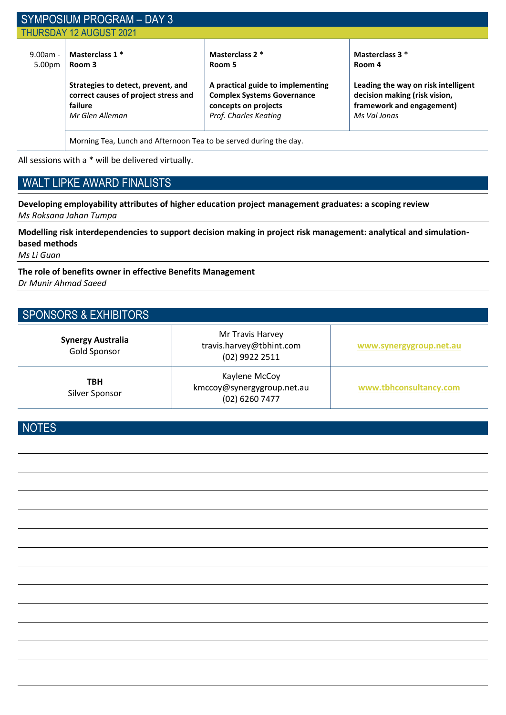|                      | SYMPOSIUM PROGRAM - DAY 3                                                                                |                                                                                                                         |                                                                                                                   |  |
|----------------------|----------------------------------------------------------------------------------------------------------|-------------------------------------------------------------------------------------------------------------------------|-------------------------------------------------------------------------------------------------------------------|--|
|                      | <b>THURSDAY 12 AUGUST 2021</b>                                                                           |                                                                                                                         |                                                                                                                   |  |
| $9.00am -$<br>5.00pm | Masterclass 1 *<br>Room 3                                                                                | Masterclass 2 *<br>Room 5                                                                                               | Masterclass 3 *<br>Room 4                                                                                         |  |
|                      | Strategies to detect, prevent, and<br>correct causes of project stress and<br>failure<br>Mr Glen Alleman | A practical guide to implementing<br><b>Complex Systems Governance</b><br>concepts on projects<br>Prof. Charles Keating | Leading the way on risk intelligent<br>decision making (risk vision,<br>framework and engagement)<br>Ms Val Jonas |  |
|                      | Morning Tea, Lunch and Afternoon Tea to be served during the day.                                        |                                                                                                                         |                                                                                                                   |  |

All sessions with a \* will be delivered virtually.

#### WALT LIPKE AWARD FINALISTS

**Developing employability attributes of higher education project management graduates: a scoping review** *Ms Roksana Jahan Tumpa*

**Modelling risk interdependencies to support decision making in project risk management: analytical and simulationbased methods**

*Ms Li Guan*

**The role of benefits owner in effective Benefits Management** *Dr Munir Ahmad Saeed*

#### SPONSORS & EXHIBITORS

| <b>Synergy Australia</b><br><b>Gold Sponsor</b> | Mr Travis Harvey<br>travis.harvey@tbhint.com<br>(02) 9922 2511 | www.synergygroup.net.au |
|-------------------------------------------------|----------------------------------------------------------------|-------------------------|
| <b>TBH</b><br>Silver Sponsor                    | Kaylene McCoy<br>kmccoy@synergygroup.net.au<br>(02) 6260 7477  | www.tbhconsultancy.com  |

**NOTES**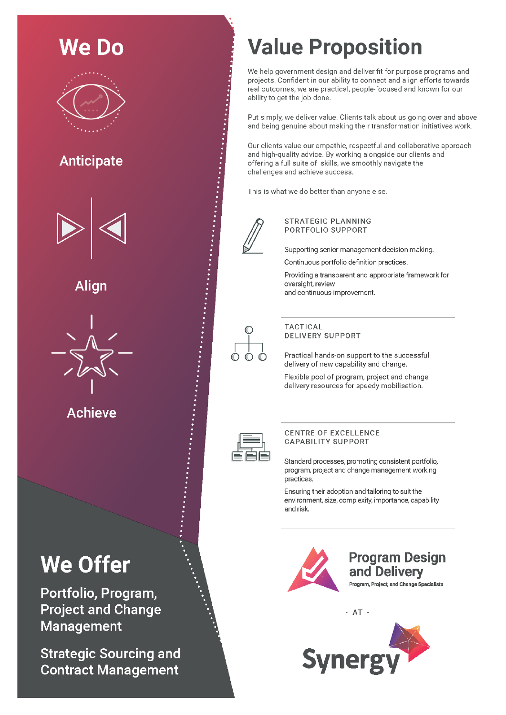# We Do **Anticipate**

Alian



Achieve

## **We Offer**

Portfolio, Program, **Project and Change Management** 

**Strategic Sourcing and Contract Management** 

## **Value Proposition**

We help government design and deliver fit for purpose programs and projects. Confident in our ability to connect and align efforts towards real outcomes, we are practical, people-focused and known for our ability to get the job done.

Put simply, we deliver value. Clients talk about us going over and above and being genuine about making their transformation initiatives work.

Our clients value our empathic, respectful and collaborative approach and high-quality advice. By working alongside our clients and offering a full suite of skills, we smoothly navigate the challenges and achieve success.

This is what we do better than anyone else.



#### **STRATEGIC PLANNING** PORTFOLIO SUPPORT

Supporting senior management decision making.

Continuous portfolio definition practices.

Providing a transparent and appropriate framework for oversight, review and continuous improvement.



#### **TACTICAL DELIVERY SUPPORT**

Practical hands-on support to the successful delivery of new capability and change.

Flexible pool of program, project and change delivery resources for speedy mobilisation.



#### **CENTRE OF EXCELLENCE CAPABILITY SUPPORT**

Standard processes, promoting consistent portfolio, program, project and change management working practices.

Ensuring their adoption and tailoring to suit the environment, size, complexity, importance, capability and risk.



 $- AT -$